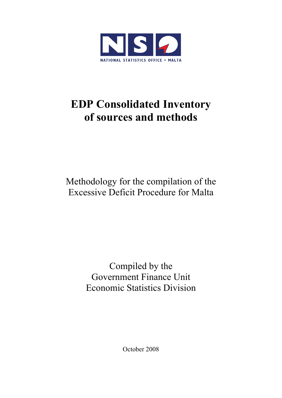

# **EDP Consolidated Inventory of sources and methods**

Methodology for the compilation of the Excessive Deficit Procedure for Malta

> Compiled by the Government Finance Unit Economic Statistics Division

> > October 2008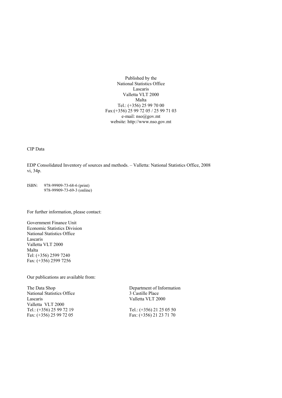Published by the National Statistics Office Lascaris Valletta VLT 2000 Malta Tel.: (+356) 25 99 70 00 Fax:(+356) 25 99 72 05 / 25 99 71 03 e-mail: nso@gov.mt website: http://www.nso.gov.mt

CIP Data

EDP Consolidated Inventory of sources and methods. – Valletta: National Statistics Office, 2008 vi, 34p.

ISBN: 978-99909-73-68-6 (print) 978-99909-73-69-3 (online)

For further information, please contact:

Government Finance Unit Economic Statistics Division National Statistics Office Lascaris Valletta VLT 2000 Malta Tel: (+356) 2599 7240 Fax: (+356) 2599 7256

Our publications are available from:

The Data Shop Department of Information National Statistics Office 3 Castille Place<br>Lascaris Valletta VLT 20 Valletta VLT 2000 Tel.: (+356) 25 99 72 19<br>
Fax: (+356) 25 99 72 05<br>
Fax: (+356) 21 23 71 70 Fax: (+356) 25 99 72 05

Valletta VLT 2000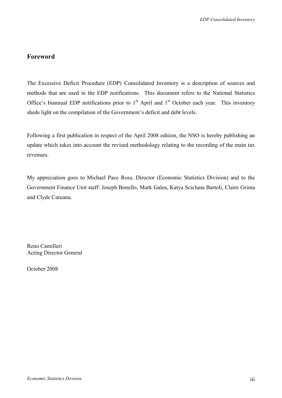### **Foreword**

The Excessive Deficit Procedure (EDP) Consolidated Inventory is a description of sources and methods that are used in the EDP notifications. This document refers to the National Statistics Office's biannual EDP notifications prior to  $1<sup>st</sup>$  April and  $1<sup>st</sup>$  October each year. This inventory sheds light on the compilation of the Government's deficit and debt levels.

Following a first publication in respect of the April 2008 edition, the NSO is hereby publishing an update which takes into account the revised methodology relating to the recording of the main tax revenues.

My appreciation goes to Michael Pace Ross, Director (Economic Statistics Division) and to the Government Finance Unit staff: Joseph Bonello, Mark Galea, Katya Scicluna Bartoli, Claire Grima and Clyde Caruana.

Reno Camilleri Acting Director General

October 2008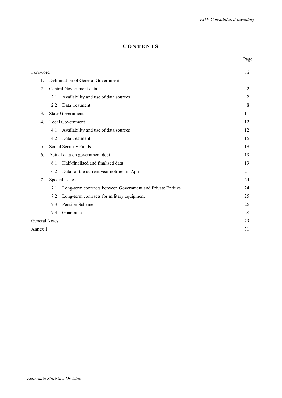#### **CONTENTS**

**Page** 

| Foreword             |                                    |                                                             | 111            |  |  |
|----------------------|------------------------------------|-------------------------------------------------------------|----------------|--|--|
| 1.                   | Delimitation of General Government |                                                             |                |  |  |
| $\overline{2}$ .     |                                    | Central Government data                                     | $\overline{2}$ |  |  |
|                      | 2.1                                | Availability and use of data sources                        | $\overline{2}$ |  |  |
|                      | 2.2                                | Data treatment                                              | 8              |  |  |
| 3.                   |                                    | <b>State Government</b>                                     | 11             |  |  |
| $4_{\cdot}$          |                                    | Local Government                                            | 12             |  |  |
|                      | 4.1                                | Availability and use of data sources                        | 12             |  |  |
|                      | 4.2                                | Data treatment                                              | 16             |  |  |
| 5.                   |                                    | Social Security Funds                                       | 18             |  |  |
| 6.                   |                                    | Actual data on government debt                              | 19             |  |  |
|                      | 6.1                                | Half-finalised and finalised data                           | 19             |  |  |
|                      | 6.2                                | Data for the current year notified in April                 | 21             |  |  |
| 7.                   |                                    | Special issues                                              | 24             |  |  |
|                      | 7.1                                | Long-term contracts between Government and Private Entities | 24             |  |  |
|                      | 7.2                                | Long-term contracts for military equipment                  | 25             |  |  |
|                      | 7.3                                | Pension Schemes                                             | 26             |  |  |
|                      | 7.4                                | Guarantees                                                  | 28             |  |  |
| <b>General Notes</b> |                                    |                                                             | 29             |  |  |
| Annex 1              |                                    |                                                             | 31             |  |  |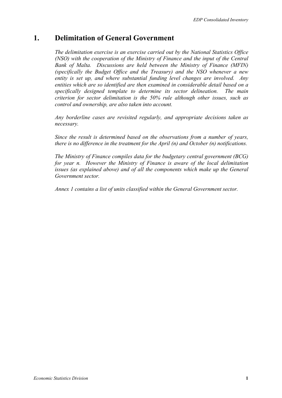# **1. Delimitation of General Government**

*The delimitation exercise is an exercise carried out by the National Statistics Office (NSO) with the cooperation of the Ministry of Finance and the input of the Central Bank of Malta. Discussions are held between the Ministry of Finance (MFIN) (specifically the Budget Office and the Treasury) and the NSO whenever a new entity is set up, and where substantial funding level changes are involved. Any entities which are so identified are then examined in considerable detail based on a specifically designed template to determine its sector delineation. The main criterion for sector delimitation is the 50% rule although other issues, such as control and ownership, are also taken into account.* 

*Any borderline cases are revisited regularly, and appropriate decisions taken as necessary.* 

*Since the result is determined based on the observations from a number of years, there is no difference in the treatment for the April (n) and October (n) notifications.* 

*The Ministry of Finance compiles data for the budgetary central government (BCG) for year n. However the Ministry of Finance is aware of the local delimitation issues (as explained above) and of all the components which make up the General Government sector.* 

*Annex 1 contains a list of units classified within the General Government sector.*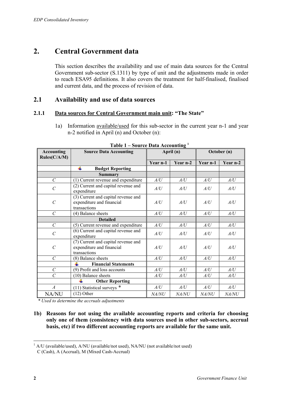# **2. Central Government data**

This section describes the availability and use of main data sources for the Central Government sub-sector (S.1311) by type of unit and the adjustments made in order to reach ESA95 definitions. It also covers the treatment for half-finalised, finalised and current data, and the process of revision of data.

#### **2.1 Availability and use of data sources**

#### **2.1.1 Data sources for Central Government main unit: "The State"**

1a) Information available/used for this sub-sector in the current year n-1 and year n-2 notified in April (n) and October (n):

| <b>Accounting</b><br>Rules(C/A/M) | <b>Source Data Accounting</b>                                                    | April (n) |          | October (n) |              |
|-----------------------------------|----------------------------------------------------------------------------------|-----------|----------|-------------|--------------|
|                                   |                                                                                  | Year n-1  | Year n-2 | Year n-1    | Year n-2     |
|                                   | 4<br><b>Budget Reporting</b>                                                     |           |          |             |              |
|                                   | Summary                                                                          |           |          |             |              |
| $\mathcal{C}$                     | (1) Current revenue and expenditure                                              | A/U       | A/U      | A/U         | A/U          |
| $\mathcal{C}_{0}^{0}$             | (2) Current and capital revenue and<br>expenditure                               | A/U       | A/U      | A/U         | A/U          |
| $\mathcal{C}_{0}^{0}$             | (3) Current and capital revenue and<br>expenditure and financial<br>transactions | A/U       | A/U      | A/U         | A/U          |
| $\mathcal{C}$                     | (4) Balance sheets                                                               | A/U       | A/U      | A/U         | A/U          |
|                                   | <b>Detailed</b>                                                                  |           |          |             |              |
| $\mathcal{C}$                     | (5) Current revenue and expenditure                                              | A/U       | A/U      | A/U         | A/U          |
| $\mathcal{C}$                     | (6) Current and capital revenue and<br>expenditure                               | A/U       | A/U      | A/U         | A/U          |
| $\mathcal{C}$                     | (7) Current and capital revenue and<br>expenditure and financial<br>transactions | A/U       | A/U      | A/U         | A/U          |
| $\mathcal{C}$                     | (8) Balance sheets                                                               | A/U       | A/U      | A/U         | A/U          |
|                                   | <b>Financial Statements</b>                                                      |           |          |             |              |
| $\mathcal{C}$                     | (9) Profit and loss accounts                                                     | A/U       | A/U      | A/U         | A/U          |
| $\mathcal{C}$                     | (10) Balance sheets                                                              | A/U       | A/U      | A/U         | A/U          |
|                                   | <b>Other Reporting</b>                                                           |           |          |             |              |
| $\boldsymbol{A}$                  | $(11)$ Statistical surveys $*$                                                   | A/U       | A/U      | A/U         | A/U          |
| <b>NA/NU</b>                      | $(12)$ Other                                                                     | NA/NU     | NA/NU    | NA/NU       | <i>NA/NU</i> |

**Table 1 – Source Data Accounting 1**

*\* Used to determine the accruals adjustments* 

**1b) Reasons for not using the available accounting reports and criteria for choosing only one of them (consistency with data sources used in other sub-sectors, accrual basis, etc) if two different accounting reports are available for the same unit.** 

<sup>&</sup>lt;u>.</u>  $1$  A/U (available/used), A/NU (available/not used), NA/NU (not available/not used) C (Cash), A (Accrual), M (Mixed Cash-Accrual)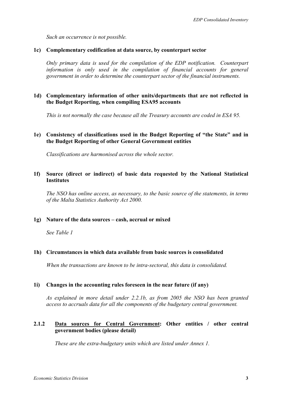*Such an occurrence is not possible.* 

#### **1c) Complementary codification at data source, by counterpart sector**

*Only primary data is used for the compilation of the EDP notification. Counterpart information is only used in the compilation of financial accounts for general government in order to determine the counterpart sector of the financial instruments.* 

#### **1d) Complementary information of other units/departments that are not reflected in the Budget Reporting, when compiling ESA95 accounts**

*This is not normally the case because all the Treasury accounts are coded in ESA 95.* 

#### **1e) Consistency of classifications used in the Budget Reporting of "the State" and in the Budget Reporting of other General Government entities**

*Classifications are harmonised across the whole sector.* 

#### **1f) Source (direct or indirect) of basic data requested by the National Statistical Institutes**

*The NSO has online access, as necessary, to the basic source of the statements, in terms of the Malta Statistics Authority Act 2000.* 

#### **1g) Nature of the data sources – cash, accrual or mixed**

*See Table 1* 

#### **1h) Circumstances in which data available from basic sources is consolidated**

*When the transactions are known to be intra-sectoral, this data is consolidated.* 

#### **1i) Changes in the accounting rules foreseen in the near future (if any)**

*As explained in more detail under 2.2.1b, as from 2005 the NSO has been granted access to accruals data for all the components of the budgetary central government.* 

#### **2.1.2 Data sources for Central Government: Other entities / other central government bodies (please detail)**

*These are the extra-budgetary units which are listed under Annex 1.*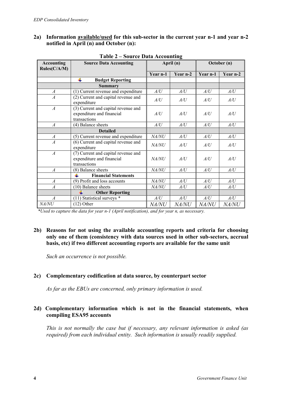#### **2a) Information available/used for this sub-sector in the current year n-1 and year n-2 notified in April (n) and October (n):**

| <b>Accounting</b><br>Rules(C/A/M) | <b>Source Data Accounting</b>                                                    | April (n)    |              | October (n)  |              |
|-----------------------------------|----------------------------------------------------------------------------------|--------------|--------------|--------------|--------------|
|                                   |                                                                                  | Year n-1     | Year n-2     | Year n-1     | Year n-2     |
|                                   | ÷<br><b>Budget Reporting</b>                                                     |              |              |              |              |
|                                   | Summary                                                                          |              |              |              |              |
| $\overline{A}$                    | (1) Current revenue and expenditure                                              | A/U          | A/U          | A/U          | A/U          |
| $\overline{A}$                    | (2) Current and capital revenue and<br>expenditure                               | A/U          | A/U          | A/U          | A/U          |
| $\overline{A}$                    | (3) Current and capital revenue and<br>expenditure and financial<br>transactions | A/U          | A/U          | A/U          | A/U          |
| $\overline{A}$                    | (4) Balance sheets                                                               | A/U          | A/U          | A/U          | A/U          |
|                                   | <b>Detailed</b>                                                                  |              |              |              |              |
| $\boldsymbol{A}$                  | (5) Current revenue and expenditure                                              | NA/NU        | A/U          | A/U          | A/U          |
| $\overline{A}$                    | (6) Current and capital revenue and<br>expenditure                               | <i>NA/NU</i> | A/U          | A/U          | A/U          |
| $\overline{A}$                    | (7) Current and capital revenue and<br>expenditure and financial<br>transactions | <i>NA/NU</i> | A/U          | A/U          | A/U          |
| $\overline{A}$                    | (8) Balance sheets                                                               | <i>NA/NU</i> | A/U          | A/U          | A/U          |
|                                   | <b>Financial Statements</b>                                                      |              |              |              |              |
| $\boldsymbol{A}$                  | (9) Profit and loss accounts                                                     | NA/NU        | A/U          | A/U          | A/U          |
| $\overline{A}$                    | (10) Balance sheets                                                              | NA/NU<br>A/U |              | A/U          | A/U          |
|                                   | <b>Other Reporting</b>                                                           |              |              |              |              |
| $\overline{A}$                    | $(11)$ Statistical surveys $*$                                                   | A/U          | A/U          | A/U          | A/U          |
| <i>NA/NU</i>                      | $(12)$ Other                                                                     | <i>NA/NU</i> | <i>NA/NU</i> | <i>NA/NU</i> | <i>NA/NU</i> |

#### **Table 2 – Source Data Accounting**

*\*Used to capture the data for year n-1 (April notification), and for year n, as necessary.* 

#### **2b) Reasons for not using the available accounting reports and criteria for choosing only one of them (consistency with data sources used in other sub-sectors, accrual basis, etc) if two different accounting reports are available for the same unit**

*Such an occurrence is not possible.* 

#### **2c) Complementary codification at data source, by counterpart sector**

*As far as the EBUs are concerned, only primary information is used.*

#### **2d) Complementary information which is not in the financial statements, when compiling ESA95 accounts**

*This is not normally the case but if necessary, any relevant information is asked (as required) from each individual entity. Such information is usually readily supplied.*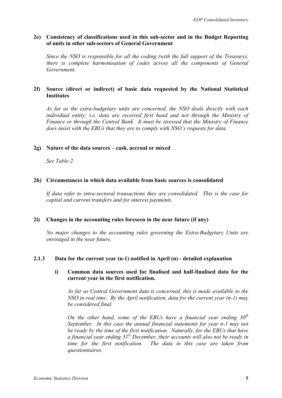#### **2e) Consistency of classifications used in this sub-sector and in the Budget Reporting of units in other sub-sectors of General Government**

*Since the NSO is responsible for all the coding (with the full support of the Treasury), there is complete harmonisation of codes across all the components of General Government.* 

#### **2f) Source (direct or indirect) of basic data requested by the National Statistical Institutes**

*As far as the extra-budgetary units are concerned, the NSO deals directly with each individual entity; i.e. data are received first hand and not through the Ministry of Finance or through the Central Bank. It must be stressed that the Ministry of Finance does insist with the EBUs that they are to comply with NSO's requests for data.* 

#### **2g) Nature of the data sources – cash, accrual or mixed**

*See Table 2.* 

#### **2h) Circumstances in which data available from basic sources is consolidated**

*If data refer to intra-sectoral transactions they are consolidated. This is the case for capital and current transfers and for interest payments.* 

#### **2i) Changes in the accounting rules foreseen in the near future (if any)**

*No major changes to the accounting rules governing the Extra-Budgetary Units are envisaged in the near future.* 

#### **2.1.3 Data for the current year (n-1) notified in April (n) - detailed explanation**

#### **i) Common data sources used for finalised and half-finalised data for the current year in the first notification.**

*As far as Central Government data is concerned, this is made available to the NSO in real time. By the April notification, data for the current year (n-1) may be considered final.* 

*On the other hand, some of the EBUs have a financial year ending 30th September. In this case the annual financial statements for year n-1 may not be ready by the time of the first notification. Naturally, for the EBUs that have a financial year ending 31st December, their accounts will also not be ready in time for the first notification. The data in this case are taken from questionnaires.*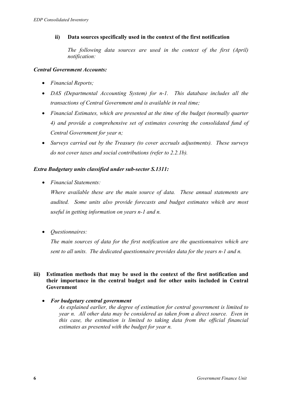#### **ii) Data sources specifically used in the context of the first notification**

*The following data sources are used in the context of the first (April) notification:* 

#### *Central Government Accounts:*

- *Financial Reports;*
- *DAS (Departmental Accounting System) for n-1. This database includes all the transactions of Central Government and is available in real time;*
- *Financial Estimates, which are presented at the time of the budget (normally quarter 4) and provide a comprehensive set of estimates covering the consolidated fund of Central Government for year n;*
- *Surveys carried out by the Treasury (to cover accruals adjustments). These surveys do not cover taxes and social contributions (refer to 2.2.1b).*

#### *Extra Budgetary units classified under sub-sector S.1311:*

• *Financial Statements:* 

*Where available these are the main source of data. These annual statements are audited. Some units also provide forecasts and budget estimates which are most useful in getting information on years n-1 and n.* 

• *Questionnaires:* 

*The main sources of data for the first notification are the questionnaires which are sent to all units. The dedicated questionnaire provides data for the years n-1 and n.* 

#### **iii) Estimation methods that may be used in the context of the first notification and their importance in the central budget and for other units included in Central Government**

• *For budgetary central government* 

*As explained earlier, the degree of estimation for central government is limited to year n. All other data may be considered as taken from a direct source. Even in this case, the estimation is limited to taking data from the official financial estimates as presented with the budget for year n.*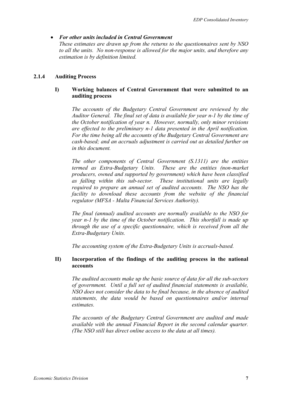#### • *For other units included in Central Government*

*These estimates are drawn up from the returns to the questionnaires sent by NSO to all the units. No non-response is allowed for the major units, and therefore any estimation is by definition limited.* 

#### **2.1.4 Auditing Process**

#### **I) Working balances of Central Government that were submitted to an auditing process**

*The accounts of the Budgetary Central Government are reviewed by the Auditor General. The final set of data is available for year n-1 by the time of the October notification of year n. However, normally, only minor revisions are effected to the preliminary n-1 data presented in the April notification. For the time being all the accounts of the Budgetary Central Government are cash-based; and an accruals adjustment is carried out as detailed further on in this document.* 

*The other components of Central Government (S.1311) are the entities termed as Extra-Budgetary Units. These are the entities (non-market producers, owned and supported by government) which have been classified as falling within this sub-sector. These institutional units are legally required to prepare an annual set of audited accounts. The NSO has the facility to download these accounts from the website of the financial regulator (MFSA - Malta Financial Services Authority).* 

*The final (annual) audited accounts are normally available to the NSO for year n-1 by the time of the October notification. This shortfall is made up through the use of a specific questionnaire, which is received from all the Extra-Budgetary Units.* 

*The accounting system of the Extra-Budgetary Units is accruals-based.* 

#### **II) Incorporation of the findings of the auditing process in the national accounts**

*The audited accounts make up the basic source of data for all the sub-sectors of government. Until a full set of audited financial statements is available, NSO does not consider the data to be final because, in the absence of audited statements, the data would be based on questionnaires and/or internal estimates.* 

*The accounts of the Budgetary Central Government are audited and made available with the annual Financial Report in the second calendar quarter. (The NSO still has direct online access to the data at all times).*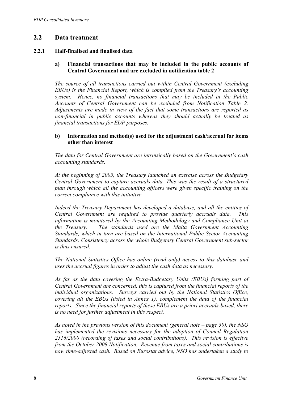## **2.2 Data treatment**

#### **2.2.1 Half-finalised and finalised data**

#### **a) Financial transactions that may be included in the public accounts of Central Government and are excluded in notification table 2**

*The source of all transactions carried out within Central Government (excluding EBUs) is the Financial Report, which is compiled from the Treasury's accounting system. Hence, no financial transactions that may be included in the Public Accounts of Central Government can be excluded from Notification Table 2. Adjustments are made in view of the fact that some transactions are reported as non-financial in public accounts whereas they should actually be treated as financial transactions for EDP purposes.* 

#### **b) Information and method(s) used for the adjustment cash/accrual for items other than interest**

*The data for Central Government are intrinsically based on the Government's cash accounting standards.* 

*At the beginning of 2005, the Treasury launched an exercise across the Budgetary Central Government to capture accruals data. This was the result of a structured plan through which all the accounting officers were given specific training on the correct compliance with this initiative.* 

*Indeed the Treasury Department has developed a database, and all the entities of Central Government are required to provide quarterly accruals data. This information is monitored by the Accounting Methodology and Compliance Unit at the Treasury. The standards used are the Malta Government Accounting Standards, which in turn are based on the International Public Sector Accounting Standards. Consistency across the whole Budgetary Central Government sub-sector is thus ensured.* 

*The National Statistics Office has online (read only) access to this database and uses the accrual figures in order to adjust the cash data as necessary.* 

*As far as the data covering the Extra-Budgetary Units (EBUs) forming part of Central Government are concerned, this is captured from the financial reports of the individual organizations. Surveys carried out by the National Statistics Office, covering all the EBUs (listed in Annex 1), complement the data of the financial reports. Since the financial reports of these EBUs are a priori accruals-based, there is no need for further adjustment in this respect.* 

*As noted in the previous version of this document (general note – page 30), the NSO has implemented the revisions necessary for the adoption of Council Regulation 2516/2000 (recording of taxes and social contributions). This revision is effective from the October 2008 Notification. Revenue from taxes and social contributions is now time-adjusted cash. Based on Eurostat advice, NSO has undertaken a study to*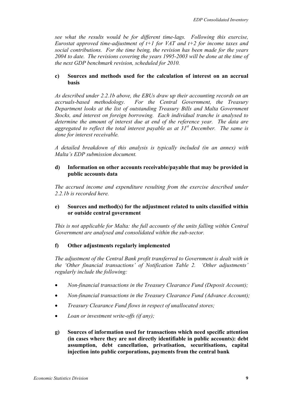*see what the results would be for different time-lags. Following this exercise, Eurostat approved time-adjustment of t+1 for VAT and t+2 for income taxes and social contributions. For the time being, the revision has been made for the years 2004 to date. The revisions covering the years 1995-2003 will be done at the time of the next GDP benchmark revision, scheduled for 2010.* 

#### **c) Sources and methods used for the calculation of interest on an accrual basis**

*As described under 2.2.1b above, the EBUs draw up their accounting records on an accruals-based methodology. For the Central Government, the Treasury Department looks at the list of outstanding Treasury Bills and Malta Government Stocks, and interest on foreign borrowing. Each individual tranche is analysed to determine the amount of interest due at end of the reference year. The data are aggregated to reflect the total interest payable as at 31st December. The same is done for interest receivable.* 

*A detailed breakdown of this analysis is typically included (in an annex) with Malta's EDP submission document.* 

#### **d) Information on other accounts receivable/payable that may be provided in public accounts data**

*The accrued income and expenditure resulting from the exercise described under 2.2.1b is recorded here.* 

#### **e) Sources and method(s) for the adjustment related to units classified within or outside central government**

*This is not applicable for Malta: the full accounts of the units falling within Central Government are analysed and consolidated within the sub-sector.* 

#### **f) Other adjustments regularly implemented**

*The adjustment of the Central Bank profit transferred to Government is dealt with in the 'Other financial transactions' of Notification Table 2. 'Other adjustments' regularly include the following:* 

- *Non-financial transactions in the Treasury Clearance Fund (Deposit Account);*
- *Non-financial transactions in the Treasury Clearance Fund (Advance Account);*
- *Treasury Clearance Fund flows in respect of unallocated stores;*
- *Loan or investment write-offs (if any);*
- **g) Sources of information used for transactions which need specific attention (in cases where they are not directly identifiable in public accounts): debt assumption, debt cancellation, privatisation, securitisations, capital injection into public corporations, payments from the central bank**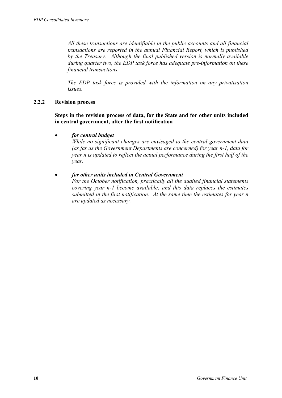*All these transactions are identifiable in the public accounts and all financial transactions are reported in the annual Financial Report, which is published by the Treasury. Although the final published version is normally available during quarter two, the EDP task force has adequate pre-information on these financial transactions.* 

*The EDP task force is provided with the information on any privatisation issues.* 

#### **2.2.2 Revision process**

**Steps in the revision process of data, for the State and for other units included in central government, after the first notification** 

#### • *for central budget*

*While no significant changes are envisaged to the central government data (as far as the Government Departments are concerned) for year n-1, data for year n is updated to reflect the actual performance during the first half of the year.* 

#### • *for other units included in Central Government*

*For the October notification, practically all the audited financial statements covering year n-1 become available; and this data replaces the estimates submitted in the first notification. At the same time the estimates for year n are updated as necessary.*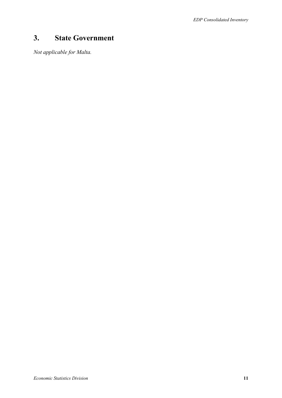# **3. State Government**

*Not applicable for Malta.*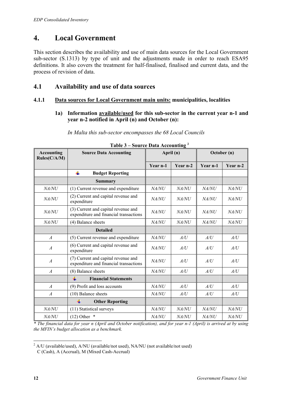# **4. Local Government**

This section describes the availability and use of main data sources for the Local Government sub-sector (S.1313) by type of unit and the adjustments made in order to reach ESA95 definitions. It also covers the treatment for half-finalised, finalised and current data, and the process of revision of data.

## **4.1 Availability and use of data sources**

#### **4.1.1 Data sources for Local Government main units: municipalities, localities**

#### **1a) Information available/used for this sub-sector in the current year n-1 and year n-2 notified in April (n) and October (n):**

*In Malta this sub-sector encompasses the 68 Local Councils* 

| <b>Accounting</b><br>Rules(C/A/M) | <b>Source Data Accounting</b>                                                 | April (n)    |              | October (n)  |              |
|-----------------------------------|-------------------------------------------------------------------------------|--------------|--------------|--------------|--------------|
|                                   |                                                                               | Year n-1     | Year n-2     | Year n-1     | Year n-2     |
|                                   | ÷<br><b>Budget Reporting</b>                                                  |              |              |              |              |
|                                   | <b>Summary</b>                                                                |              |              |              |              |
| NA/NU                             | (1) Current revenue and expenditure                                           | NA/NU        | NA/NU        | NA/NU        | NA/NU        |
| <i>NA/NU</i>                      | (2) Current and capital revenue and<br>expenditure                            | NA/NU        | NA/NU        | NA/NU        | NA/NU        |
| <i>NA/NU</i>                      | (3) Current and capital revenue and<br>expenditure and financial transactions | NA/NU        | <i>NA/NU</i> | <i>NA/NU</i> | <i>NA/NU</i> |
| <i>NA/NU</i>                      | (4) Balance sheets                                                            | NA/NU        | <i>NA/NU</i> | NA/NU        | NA/NU        |
|                                   | <b>Detailed</b>                                                               |              |              |              |              |
| $\boldsymbol{A}$                  | (5) Current revenue and expenditure                                           | NA/NU        | A/U          | A/U          | A/U          |
| $\overline{A}$                    | (6) Current and capital revenue and<br>expenditure                            | <i>NA/NU</i> | A/U          | A/U          | A/U          |
| $\overline{A}$                    | (7) Current and capital revenue and<br>expenditure and financial transactions | <i>NA/NU</i> | A/U          | A/U          | A/U          |
| $\overline{A}$                    | (8) Balance sheets                                                            | NA/NU        | A/U          | A/U          | A/U          |
|                                   | ₩<br><b>Financial Statements</b>                                              |              |              |              |              |
| $\boldsymbol{A}$                  | (9) Profit and loss accounts                                                  | NA/NU        | A/U          | A/U          | A/U          |
| $\boldsymbol{A}$                  | (10) Balance sheets                                                           | NA/NU        | A/U          | A/U          | A/U          |
|                                   | ₩<br><b>Other Reporting</b>                                                   |              |              |              |              |
| NA/NU                             | (11) Statistical surveys                                                      | NA/NU        | NA/NU        | NA/NU        | NA/NU        |
| NA/NU                             | $(12)$ Other $*$                                                              | <i>NA/NU</i> | NA/NU        | NA/NU        | <i>NA/NU</i> |

#### **Table 3 – Source Data Accounting 2**

*\* The financial data for year n (April and October notification), and for year n-1 (April) is arrived at by using the MFIN's budget allocation as a benchmark.* 

<sup>&</sup>lt;u>.</u>  $2$  A/U (available/used), A/NU (available/not used), NA/NU (not available/not used) C (Cash), A (Accrual), M (Mixed Cash-Accrual)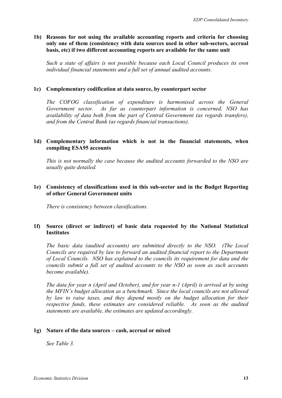#### **1b) Reasons for not using the available accounting reports and criteria for choosing only one of them (consistency with data sources used in other sub-sectors, accrual basis, etc) if two different accounting reports are available for the same unit**

*Such a state of affairs is not possible because each Local Council produces its own individual financial statements and a full set of annual audited accounts.* 

#### **1c) Complementary codification at data source, by counterpart sector**

*The COFOG classification of expenditure is harmonised across the General Government sector. As far as counterpart information is concerned, NSO has availability of data both from the part of Central Government (as regards transfers), and from the Central Bank (as regards financial transactions).* 

#### **1d) Complementary information which is not in the financial statements, when compiling ESA95 accounts**

*This is not normally the case because the audited accounts forwarded to the NSO are usually quite detailed.* 

#### **1e) Consistency of classifications used in this sub-sector and in the Budget Reporting of other General Government units**

*There is consistency between classifications.* 

#### **1f) Source (direct or indirect) of basic data requested by the National Statistical Institutes**

*The basic data (audited accounts) are submitted directly to the NSO. (The Local Councils are required by law to forward an audited financial report to the Department of Local Councils. NSO has explained to the councils its requirement for data and the councils submit a full set of audited accounts to the NSO as soon as such accounts become available).* 

*The data for year n (April and October), and for year n-1 (April) is arrived at by using the MFIN's budget allocation as a benchmark. Since the local councils are not allowed by law to raise taxes, and they depend mostly on the budget allocation for their respective funds, these estimates are considered reliable. As soon as the audited statements are available, the estimates are updated accordingly.* 

#### **1g) Nature of the data sources – cash, accrual or mixed**

*See Table 3.*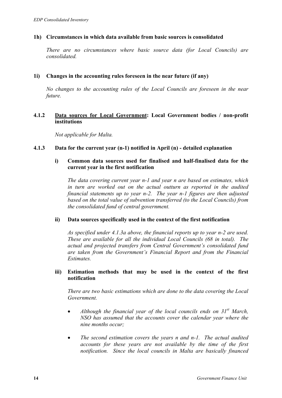#### **1h) Circumstances in which data available from basic sources is consolidated**

*There are no circumstances where basic source data (for Local Councils) are consolidated.* 

#### **1i) Changes in the accounting rules foreseen in the near future (if any)**

*No changes to the accounting rules of the Local Councils are foreseen in the near future.* 

#### **4.1.2 Data sources for Local Government: Local Government bodies / non-profit institutions**

*Not applicable for Malta.* 

#### **4.1.3 Data for the current year (n-1) notified in April (n) - detailed explanation**

#### **i) Common data sources used for finalised and half-finalised data for the current year in the first notification**

*The data covering current year n-1 and year n are based on estimates, which in turn are worked out on the actual outturn as reported in the audited financial statements up to year n-2. The year n-1 figures are then adjusted based on the total value of subvention transferred (to the Local Councils) from the consolidated fund of central government.* 

#### **ii) Data sources specifically used in the context of the first notification**

*As specified under 4.1.3a above, the financial reports up to year n-2 are used. These are available for all the individual Local Councils (68 in total). The actual and projected transfers from Central Government's consolidated fund are taken from the Government's Financial Report and from the Financial Estimates.* 

#### **iii) Estimation methods that may be used in the context of the first notification**

*There are two basic estimations which are done to the data covering the Local Government.* 

- *Although the financial year of the local councils ends on 31<sup>st</sup> March, NSO has assumed that the accounts cover the calendar year where the nine months occur;*
- *The second estimation covers the years n and n-1. The actual audited accounts for these years are not available by the time of the first notification. Since the local councils in Malta are basically financed*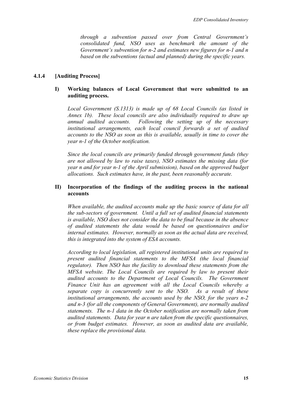*through a subvention passed over from Central Government's consolidated fund, NSO uses as benchmark the amount of the Government's subvention for n-2 and estimates new figures for n-1 and n based on the subventions (actual and planned) during the specific years.* 

#### **4.1.4 [Auditing Process]**

#### **I) Working balances of Local Government that were submitted to an auditing process.**

*Local Government (S.1313) is made up of 68 Local Councils (as listed in Annex 1b). These local councils are also individually required to draw up annual audited accounts. Following the setting up of the necessary institutional arrangements, each local council forwards a set of audited accounts to the NSO as soon as this is available, usually in time to cover the year n-1 of the October notification.* 

*Since the local councils are primarily funded through government funds (they are not allowed by law to raise taxes), NSO estimates the missing data (for year n and for year n-1 of the April submission), based on the approved budget allocations. Such estimates have, in the past, been reasonably accurate.* 

#### **II) Incorporation of the findings of the auditing process in the national accounts**

*When available, the audited accounts make up the basic source of data for all the sub-sectors of government. Until a full set of audited financial statements is available, NSO does not consider the data to be final because in the absence of audited statements the data would be based on questionnaires and/or internal estimates. However, normally as soon as the actual data are received, this is integrated into the system of ESA accounts.* 

*According to local legislation, all registered institutional units are required to present audited financial statements to the MFSA (the local financial regulator). Then NSO has the facility to download these statements from the MFSA website. The Local Councils are required by law to present their audited accounts to the Department of Local Councils. The Government Finance Unit has an agreement with all the Local Councils whereby a separate copy is concurrently sent to the NSO. As a result of these institutional arrangements, the accounts used by the NSO, for the years n-2 and n-3 (for all the components of General Government), are normally audited statements. The n-1 data in the October notification are normally taken from audited statements. Data for year n are taken from the specific questionnaires, or from budget estimates. However, as soon as audited data are available, these replace the provisional data.*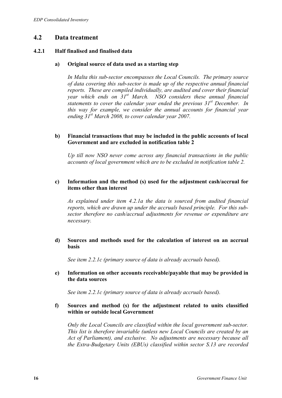### **4.2 Data treatment**

#### **4.2.1 Half finalised and finalised data**

#### **a) Original source of data used as a starting step**

*In Malta this sub-sector encompasses the Local Councils. The primary source of data covering this sub-sector is made up of the respective annual financial reports. These are compiled individually, are audited and cover their financial year which ends on 31st March. NSO considers these annual financial statements to cover the calendar year ended the previous 31st December. In this way for example, we consider the annual accounts for financial year ending 31st March 2008, to cover calendar year 2007.* 

#### **b) Financial transactions that may be included in the public accounts of local Government and are excluded in notification table 2**

*Up till now NSO never come across any financial transactions in the public accounts of local government which are to be excluded in notification table 2.* 

#### **c) Information and the method (s) used for the adjustment cash/accrual for items other than interest**

*As explained under item 4.2.1a the data is sourced from audited financial reports, which are drawn up under the accruals based principle. For this subsector therefore no cash/accrual adjustments for revenue or expenditure are necessary.* 

#### **d) Sources and methods used for the calculation of interest on an accrual basis**

*See item 2.2.1c (primary source of data is already accruals based).* 

#### **e) Information on other accounts receivable/payable that may be provided in the data sources**

*See item 2.2.1c (primary source of data is already accruals based).* 

#### **f) Sources and method (s) for the adjustment related to units classified within or outside local Government**

*Only the Local Councils are classified within the local government sub-sector. This list is therefore invariable (unless new Local Councils are created by an Act of Parliament), and exclusive. No adjustments are necessary because all the Extra-Budgetary Units (EBUs) classified within sector S.13 are recorded*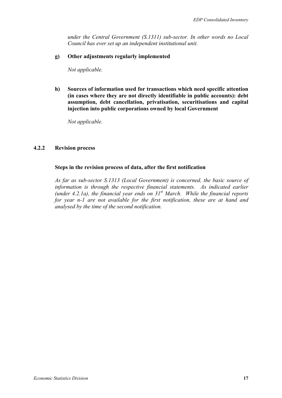*under the Central Government (S.1311) sub-sector. In other words no Local Council has ever set up an independent institutional unit.* 

#### **g) Other adjustments regularly implemented**

*Not applicable.* 

**h) Sources of information used for transactions which need specific attention (in cases where they are not directly identifiable in public accounts): debt assumption, debt cancellation, privatisation, securitisations and capital injection into public corporations owned by local Government** 

*Not applicable.* 

#### **4.2.2 Revision process**

#### **Steps in the revision process of data, after the first notification**

*As far as sub-sector S.1313 (Local Government) is concerned, the basic source of information is through the respective financial statements. As indicated earlier (under 4.2.1a), the financial year ends on 31st March. While the financial reports for year n-1 are not available for the first notification, these are at hand and analysed by the time of the second notification.*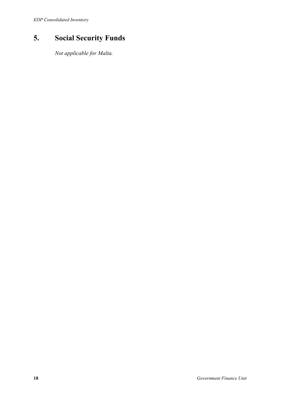# **5. Social Security Funds**

*Not applicable for Malta.*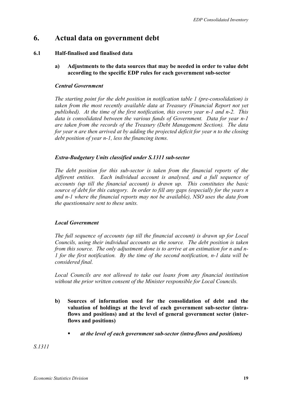# **6. Actual data on government debt**

#### **6.1 Half-finalised and finalised data**

**a) Adjustments to the data sources that may be needed in order to value debt according to the specific EDP rules for each government sub-sector** 

#### *Central Government*

*The starting point for the debt position in notification table 1 (pre-consolidation) is taken from the most recently available data at Treasury (Financial Report not yet published). At the time of the first notification, this covers year n-1 and n-2. This data is consolidated between the various funds of Government. Data for year n-1 are taken from the records of the Treasury (Debt Management Section). The data for year n are then arrived at by adding the projected deficit for year n to the closing debt position of year n-1, less the financing items.* 

#### *Extra-Budgetary Units classified under S.1311 sub-sector*

*The debt position for this sub-sector is taken from the financial reports of the different entities. Each individual account is analysed, and a full sequence of accounts (up till the financial account) is drawn up. This constitutes the basic source of debt for this category. In order to fill any gaps (especially for the years n and n-1 where the financial reports may not be available), NSO uses the data from the questionnaire sent to these units.* 

#### *Local Government*

*The full sequence of accounts (up till the financial account) is drawn up for Local Councils, using their individual accounts as the source. The debt position is taken from this source. The only adjustment done is to arrive at an estimation for n and n-1 for the first notification. By the time of the second notification, n-1 data will be considered final.* 

*Local Councils are not allowed to take out loans from any financial institution without the prior written consent of the Minister responsible for Local Councils.* 

- **b) Sources of information used for the consolidation of debt and the valuation of holdings at the level of each government sub-sector (intraflows and positions) and at the level of general government sector (interflows and positions)** 
	- *at the level of each government sub-sector (intra-flows and positions)*

*S.1311*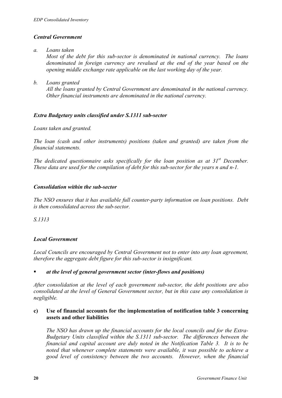#### *Central Government*

- *a. Loans taken Most of the debt for this sub-sector is denominated in national currency. The loans denominated in foreign currency are revalued at the end of the year based on the opening middle exchange rate applicable on the last working day of the year.*
- *b. Loans granted All the loans granted by Central Government are denominated in the national currency. Other financial instruments are denominated in the national currency.*

#### *Extra Budgetary units classified under S.1311 sub-sector*

*Loans taken and granted.* 

*The loan (cash and other instruments) positions (taken and granted) are taken from the financial statements.* 

*The dedicated questionnaire asks specifically for the loan position as at 31st December. These data are used for the compilation of debt for this sub-sector for the years n and n-1.* 

#### *Consolidation within the sub-sector*

*The NSO ensures that it has available full counter-party information on loan positions. Debt is then consolidated across the sub-sector.* 

*S.1313* 

#### *Local Government*

*Local Councils are encouraged by Central Government not to enter into any loan agreement, therefore the aggregate debt figure for this sub-sector is insignificant.* 

#### *at the level of general government sector (inter-flows and positions)*

*After consolidation at the level of each government sub-sector, the debt positions are also consolidated at the level of General Government sector, but in this case any consolidation is negligible.* 

#### **c) Use of financial accounts for the implementation of notification table 3 concerning assets and other liabilities**

*The NSO has drawn up the financial accounts for the local councils and for the Extra-Budgetary Units classified within the S.1311 sub-sector. The differences between the financial and capital account are duly noted in the Notification Table 3. It is to be noted that whenever complete statements were available, it was possible to achieve a good level of consistency between the two accounts. However, when the financial*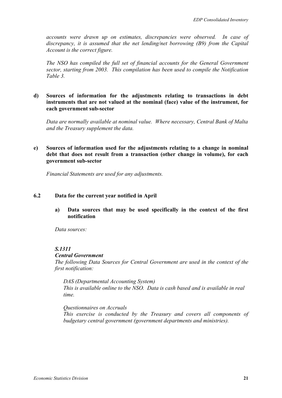*accounts were drawn up on estimates, discrepancies were observed. In case of discrepancy, it is assumed that the net lending/net borrowing (B9) from the Capital Account is the correct figure.* 

*The NSO has compiled the full set of financial accounts for the General Government sector, starting from 2003. This compilation has been used to compile the Notification Table 3.* 

#### **d) Sources of information for the adjustments relating to transactions in debt instruments that are not valued at the nominal (face) value of the instrument, for each government sub-sector**

*Data are normally available at nominal value. Where necessary, Central Bank of Malta and the Treasury supplement the data.* 

#### **e) Sources of information used for the adjustments relating to a change in nominal debt that does not result from a transaction (other change in volume), for each government sub-sector**

*Financial Statements are used for any adjustments.* 

#### **6.2 Data for the current year notified in April**

**a) Data sources that may be used specifically in the context of the first notification** 

*Data sources:* 

#### *S.1311*

*Central Government* 

*The following Data Sources for Central Government are used in the context of the first notification:* 

*DAS (Departmental Accounting System) This is available online to the NSO. Data is cash based and is available in real time.* 

*Questionnaires on Accruals This exercise is conducted by the Treasury and covers all components of budgetary central government (government departments and ministries).*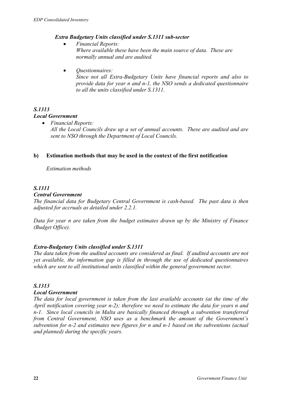#### *Extra Budgetary Units classified under S.1311 sub-sector*

- *Financial Reports: Where available these have been the main source of data. These are normally annual and are audited.*
- *Questionnaires: Since not all Extra-Budgetary Units have financial reports and also to provide data for year n and n-1, the NSO sends a dedicated questionnaire to all the units classified under S.1311.*

# *S.1313*

#### *Local Government*

• *Financial Reports: All the Local Councils draw up a set of annual accounts. These are audited and are sent to NSO through the Department of Local Councils.* 

#### **b) Estimation methods that may be used in the context of the first notification**

*Estimation methods* 

#### *S.1311*

#### *Central Government*

*The financial data for Budgetary Central Government is cash-based. The past data is then adjusted for accruals as detailed under 2.2.1.* 

*Data for year n are taken from the budget estimates drawn up by the Ministry of Finance (Budget Office).* 

#### *Extra-Budgetary Units classified under S.1311*

*The data taken from the audited accounts are considered as final. If audited accounts are not yet available, the information gap is filled in through the use of dedicated questionnaires which are sent to all institutional units classified within the general government sector.* 

#### *S.1313*

#### *Local Government*

*The data for local government is taken from the last available accounts (at the time of the April notification covering year n-2); therefore we need to estimate the data for years n and n-1. Since local councils in Malta are basically financed through a subvention transferred from Central Government, NSO uses as a benchmark the amount of the Government's subvention for n-2 and estimates new figures for n and n-1 based on the subventions (actual and planned) during the specific years.*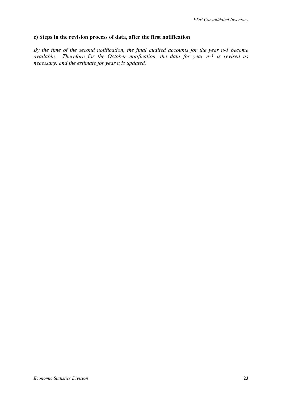#### **c) Steps in the revision process of data, after the first notification**

*By the time of the second notification, the final audited accounts for the year n-1 become available. Therefore for the October notification, the data for year n-1 is revised as necessary, and the estimate for year n is updated.*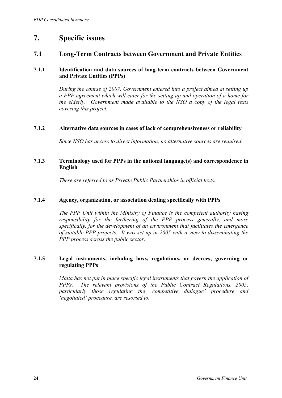# **7. Specific issues**

### **7.1 Long-Term Contracts between Government and Private Entities**

#### **7.1.1 Identification and data sources of long-term contracts between Government and Private Entities (PPPs)**

*During the course of 2007, Government entered into a project aimed at setting up a PPP agreement which will cater for the setting up and operation of a home for the elderly. Government made available to the NSO a copy of the legal texts covering this project.* 

#### **7.1.2 Alternative data sources in cases of lack of comprehensiveness or reliability**

*Since NSO has access to direct information, no alternative sources are required.* 

#### **7.1.3 Terminology used for PPPs in the national language(s) and correspondence in English**

*These are referred to as Private Public Partnerships in official texts.* 

#### **7.1.4 Agency, organization, or association dealing specifically with PPPs**

*The PPP Unit within the Ministry of Finance is the competent authority having responsibility for the furthering of the PPP process generally, and more specifically, for the development of an environment that facilitates the emergence of suitable PPP projects. It was set up in 2005 with a view to disseminating the PPP process across the public sector.* 

#### **7.1.5 Legal instruments, including laws, regulations, or decrees, governing or regulating PPPs**

*Malta has not put in place specific legal instruments that govern the application of PPPs. The relevant provisions of the Public Contract Regulations, 2005, particularly those regulating the 'competitive dialogue' procedure and 'negotiated' procedure, are resorted to.*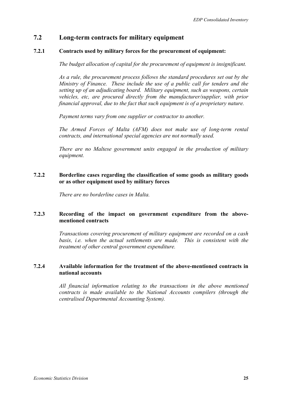### **7.2 Long-term contracts for military equipment**

#### **7.2.1 Contracts used by military forces for the procurement of equipment:**

*The budget allocation of capital for the procurement of equipment is insignificant.* 

*As a rule, the procurement process follows the standard procedures set out by the Ministry of Finance. These include the use of a public call for tenders and the setting up of an adjudicating board. Military equipment, such as weapons, certain vehicles, etc, are procured directly from the manufacturer/supplier, with prior financial approval, due to the fact that such equipment is of a proprietary nature.* 

*Payment terms vary from one supplier or contractor to another.* 

*The Armed Forces of Malta (AFM) does not make use of long-term rental contracts, and international special agencies are not normally used.* 

*There are no Maltese government units engaged in the production of military equipment.* 

#### **7.2.2 Borderline cases regarding the classification of some goods as military goods or as other equipment used by military forces**

*There are no borderline cases in Malta.* 

#### **7.2.3 Recording of the impact on government expenditure from the abovementioned contracts**

*Transactions covering procurement of military equipment are recorded on a cash*  basis, *i.e.* when the actual settlements are made. This is consistent with the *treatment of other central government expenditure.* 

#### **7.2.4 Available information for the treatment of the above-mentioned contracts in national accounts**

*All financial information relating to the transactions in the above mentioned contracts is made available to the National Accounts compilers (through the centralised Departmental Accounting System).*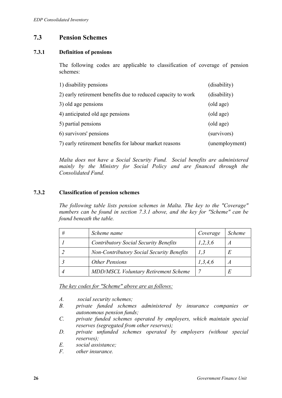# **7.3 Pension Schemes**

#### **7.3.1 Definition of pensions**

The following codes are applicable to classification of coverage of pension schemes:

| 1) disability pensions                                       | (disability)   |
|--------------------------------------------------------------|----------------|
| 2) early retirement benefits due to reduced capacity to work | (disability)   |
| 3) old age pensions                                          | (old age)      |
| 4) anticipated old age pensions                              | (old age)      |
| 5) partial pensions                                          | (old age)      |
| 6) survivors' pensions                                       | (survivors)    |
| 7) early retirement benefits for labour market reasons       | (unemployment) |

*Malta does not have a Social Security Fund. Social benefits are administered mainly by the Ministry for Social Policy and are financed through the Consolidated Fund.* 

#### **7.3.2 Classification of pension schemes**

*The following table lists pension schemes in Malta. The key to the "Coverage" numbers can be found in section 7.3.1 above, and the key for "Scheme" can be found beneath the table.* 

| # | Scheme name                                      | Coverage   | <i>Scheme</i> |
|---|--------------------------------------------------|------------|---------------|
|   | <b>Contributory Social Security Benefits</b>     | 1,2,3,6    | A             |
|   | <b>Non-Contributory Social Security Benefits</b> | 1,3        | Е             |
|   | <b>Other Pensions</b>                            | 1, 3, 4, 6 | A             |
|   | <b>MDD/MSCL Voluntary Retirement Scheme</b>      |            | E             |

*The key codes for "Scheme" above are as follows:*

- *A. social security schemes;*
- *B. private funded schemes administered by insurance companies or autonomous pension funds;*
- *C. private funded schemes operated by employers, which maintain special reserves (segregated from other reserves);*
- *D. private unfunded schemes operated by employers (without special reserves);*
- *E. social assistance;*
- *F. other insurance.*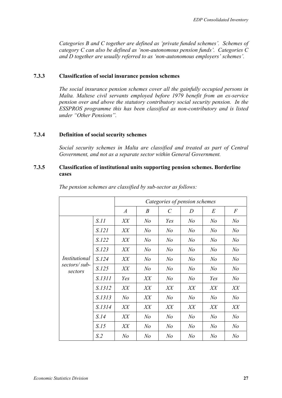*Categories B and C together are defined as 'private funded schemes'. Schemes of category C can also be defined as 'non-autonomous pension funds'. Categories C and D together are usually referred to as 'non-autonomous employers' schemes'.* 

#### **7.3.3 Classification of social insurance pension schemes**

*The social insurance pension schemes cover all the gainfully occupied persons in Malta. Maltese civil servants employed before 1979 benefit from an ex-service pension over and above the statutory contributory social security pension. In the ESSPROS programme this has been classified as non-contributory and is listed under "Other Pensions".* 

#### **7.3.4 Definition of social security schemes**

*Social security schemes in Malta are classified and treated as part of Central Government, and not as a separate sector within General Government.* 

#### **7.3.5 Classification of institutional units supporting pension schemes. Borderline cases**

|                         |                |                  |                  | Categories of pension schemes |                |                |                |
|-------------------------|----------------|------------------|------------------|-------------------------------|----------------|----------------|----------------|
|                         |                | $\boldsymbol{A}$ | $\boldsymbol{B}$ | $\mathcal{C}_{0}^{(n)}$       | D              | E              | $\overline{F}$ |
|                         | S.11           | XX               | N <sub>o</sub>   | Yes                           | N <sub>o</sub> | N <sub>o</sub> | N <sub>o</sub> |
|                         | S.121          | XX               | N <sub>o</sub>   | N <sub>o</sub>                | N <sub>o</sub> | N <sub>o</sub> | N <sub>o</sub> |
|                         | S.122          | XX               | N o              | N <sub>o</sub>                | N <sub>o</sub> | N <sub>o</sub> | N <sub>o</sub> |
|                         | S.123          | XX               | N <sub>o</sub>   | N <sub>o</sub>                | N <sub>o</sub> | N <sub>o</sub> | N <sub>o</sub> |
| <i>Institutional</i>    | S.124          | XX               | N o              | N <sub>o</sub>                | N <sub>o</sub> | N <sub>o</sub> | N <sub>o</sub> |
| sectors/sub-<br>sectors | S.125          | XX               | N o              | N <sub>o</sub>                | N <sub>o</sub> | N <sub>o</sub> | N <sub>o</sub> |
|                         | S.1311         | Yes              | XX               | N o                           | N <sub>o</sub> | Yes            | N <sub>o</sub> |
|                         | S.1312         | XX               | XX               | XX                            | XX             | XX             | XX             |
|                         | S.1313         | N <sub>o</sub>   | XX               | N o                           | N <sub>o</sub> | N <sub>o</sub> | N <sub>o</sub> |
|                         | S.1314         | XX               | XX               | XX                            | XX             | XX             | XX             |
|                         | S.14           | XX               | N o              | N <sub>o</sub>                | N <sub>o</sub> | N <sub>o</sub> | N <sub>o</sub> |
|                         | S.15           | XX               | N <sub>o</sub>   | N <sub>o</sub>                | N <sub>o</sub> | N <sub>o</sub> | N <sub>o</sub> |
|                         | S <sub>2</sub> | N <sub>o</sub>   | N <sub>o</sub>   | N <sub>o</sub>                | N <sub>o</sub> | N <sub>o</sub> | N <sub>o</sub> |

*The pension schemes are classified by sub-sector as follows:*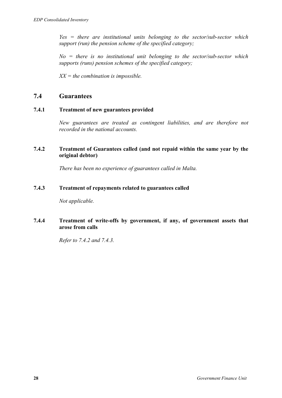*Yes = there are institutional units belonging to the sector/sub-sector which support (run) the pension scheme of the specified category;* 

*No = there is no institutional unit belonging to the sector/sub-sector which supports (runs) pension schemes of the specified category;* 

*XX = the combination is impossible.* 

## **7.4 Guarantees**

#### **7.4.1 Treatment of new guarantees provided**

*New guarantees are treated as contingent liabilities, and are therefore not recorded in the national accounts.* 

#### **7.4.2 Treatment of Guarantees called (and not repaid within the same year by the original debtor)**

*There has been no experience of guarantees called in Malta.* 

#### **7.4.3 Treatment of repayments related to guarantees called**

*Not applicable.* 

#### **7.4.4 Treatment of write-offs by government, if any, of government assets that arose from calls**

*Refer to 7.4.2 and 7.4.3.*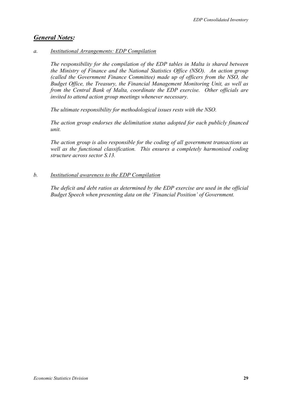# *General Notes:*

#### *a. Institutional Arrangements: EDP Compilation*

*The responsibility for the compilation of the EDP tables in Malta is shared between the Ministry of Finance and the National Statistics Office (NSO). An action group (called the Government Finance Committee) made up of officers from the NSO, the Budget Office, the Treasury, the Financial Management Monitoring Unit, as well as from the Central Bank of Malta, coordinate the EDP exercise. Other officials are invited to attend action group meetings whenever necessary.* 

*The ultimate responsibility for methodological issues rests with the NSO.* 

*The action group endorses the delimitation status adopted for each publicly financed unit.* 

*The action group is also responsible for the coding of all government transactions as well as the functional classification. This ensures a completely harmonised coding structure across sector S.13.* 

#### *b. Institutional awareness to the EDP Compilation*

*The deficit and debt ratios as determined by the EDP exercise are used in the official Budget Speech when presenting data on the 'Financial Position' of Government.*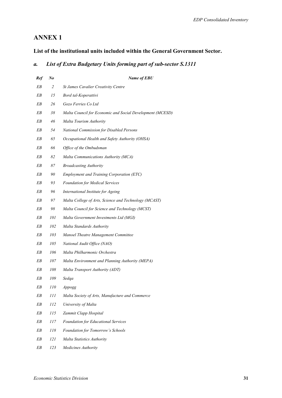# **ANNEX 1**

### **List of the institutional units included within the General Government Sector.**

#### *a. List of Extra Budgetary Units forming part of sub-sector S.1311*

| Ref | $\mathbf{N}$ o | <b>Name of EBU</b>                                        |
|-----|----------------|-----------------------------------------------------------|
| EΒ  | $\overline{c}$ | <b>St James Cavalier Creativity Centre</b>                |
| EΒ  | 15             | Bord tal-Koperattivi                                      |
| EΒ  | 26             | Gozo Ferries Co Ltd                                       |
| EΒ  | 38             | Malta Council for Economic and Social Development (MCESD) |
| EΒ  | 46             | Malta Tourism Authority                                   |
| EΒ  | 54             | National Commission for Disabled Persons                  |
| EΒ  | 65             | Occupational Health and Safety Authority (OHSA)           |
| EΒ  | 66             | Office of the Ombudsman                                   |
| EΒ  | 82             | Malta Communications Authority (MCA)                      |
| EΒ  | 87             | <b>Broadcasting Authority</b>                             |
| EΒ  | 90             | <b>Employment and Training Corporation (ETC)</b>          |
| EΒ  | 93             | <b>Foundation for Medical Services</b>                    |
| EΒ  | 96             | International Institute for Ageing                        |
| EΒ  | 97             | Malta College of Arts, Science and Technology (MCAST)     |
| EΒ  | 98             | Malta Council for Science and Technology (MCST)           |
| EΒ  | 101            | Malta Government Investments Ltd (MGI)                    |
| EΒ  | 102            | Malta Standards Authority                                 |
| EΒ  | 103            | Manoel Theatre Management Committee                       |
| EΒ  | 105            | National Audit Office (NAO)                               |
| EΒ  | 106            | Malta Philharmonic Orchestra                              |
| EΒ  | 107            | Malta Environment and Planning Authority (MEPA)           |
| EΒ  | 108            | Malta Transport Authority (ADT)                           |
| EΒ  | 109            | Sedqa                                                     |
| EB  | 110            | Appogg                                                    |
| EΒ  | 111            | Malta Society of Arts, Manufacture and Commerce           |
| EB  | 112            | University of Malta                                       |
| EΒ  | 115            | Zammit Clapp Hospital                                     |
| EΒ  | 117            | Foundation for Educational Services                       |
| EΒ  | 118            | Foundation for Tomorrow's Schools                         |
| EΒ  | 121            | Malta Statistics Authority                                |
| EΒ  | 123            | Medicines Authority                                       |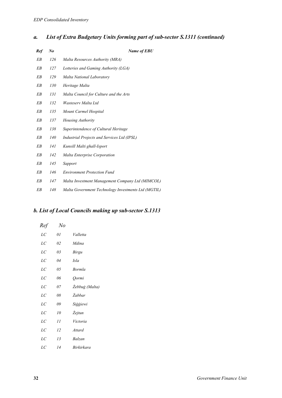# *a. List of Extra Budgetary Units forming part of sub-sector S.1311 (continued)*

| Ref | $N_{\boldsymbol{\theta}}$ | Name of EBU                                         |
|-----|---------------------------|-----------------------------------------------------|
| EΒ  | 126                       | Malta Resources Authority (MRA)                     |
| EΒ  | 127                       | Lotteries and Gaming Authority (LGA)                |
| EΒ  | 129                       | Malta National Laboratory                           |
| EΒ  | 130                       | Heritage Malta                                      |
| EΒ  | 131                       | Malta Council for Culture and the Arts              |
| EΒ  | 132                       | Wastesery Malta Ltd                                 |
| EΒ  | 135                       | Mount Carmel Hospital                               |
| EΒ  | 137                       | Housing Authority                                   |
| EΒ  | 138                       | Superintendence of Cultural Heritage                |
| EΒ  | 140                       | Industrial Projects and Services Ltd (IPSL)         |
| EΒ  | 141                       | Kunsill Malti ghall-Isport                          |
| EΒ  | 142                       | Malta Enterprise Corporation                        |
| EΒ  | 145                       | Sapport                                             |
| EΒ  | 146                       | <b>Environment Protection Fund</b>                  |
| EΒ  | 147                       | Malta Investment Management Company Ltd (MIMCOL)    |
| EΒ  | 148                       | Malta Government Technology Investments Ltd (MGTIL) |

# *b. List of Local Councils making up sub-sector S.1313*

| Ref     | N <sub>o</sub> |                |
|---------|----------------|----------------|
| LC      | 01             | Valletta       |
| LC      | 02             | Mdina          |
| LС      | 03             | Birgu          |
| LC      | 04             | <i>Isla</i>    |
| LC      | 05             | Bormla         |
| LC      | 06             | Qormi          |
| LC      | 07             | Zebbuģ (Malta) |
| LC      | 08             | Żabbar         |
| LC      | 09             | Siggiewi       |
| LC      | 10             | Zejtun         |
| LC      | 11             | Victoria       |
| LC      | 12             | Attard         |
| LC      | 13             | Balzan         |
| $_{LC}$ | 14             | Birkirkara     |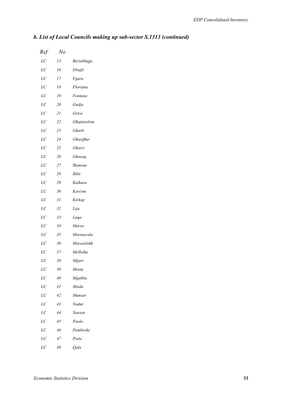| Ref     | No |             |
|---------|----|-------------|
| $_{LC}$ | 15 | Birżebbuġa  |
| LC      | 16 | Dingli      |
| $_{LC}$ | 17 | Fgura       |
| LC      | 18 | Floriana    |
| LC      | 19 | Fontana     |
| LC      | 20 | Gudja       |
| $_{LC}$ | 21 | Gżira       |
| LC      | 22 | Ghajnsielem |
| LC      | 23 | Gharb       |
| LC      | 24 | Gharghur    |
| LC      | 25 | Ghasri      |
| LC      | 26 | Ghaxaq      |
| LC      | 27 | Hamrun      |
| LC      | 28 | Iklin       |
| LC      | 29 | Kalkara     |
| $_{LC}$ | 30 | Kercem      |
| LC      | 31 | Kirkop      |
| LC      | 32 | Lija        |
| LC      | 33 | Luqa        |
| $_{LC}$ | 34 | Marsa       |
| LC      | 35 | Marsascala  |
| LC      | 36 | Marsaxlokk  |
| $_{LC}$ | 37 | Mellieha    |
| LС      | 38 | Mġarr       |
| $_{LC}$ | 39 | Mosta       |
| LC      | 40 | Mqabba      |
| $_{LC}$ | 41 | Msida       |
| LC      | 42 | Munxar      |
| LC      | 43 | Nadur       |
| LC      | 44 | Naxxar      |
| LC      | 45 | Paola       |
| LC      | 46 | Pembroke    |
| $_{LC}$ | 47 | Pieta'      |
| LC      | 48 | Qala        |

# *b. List of Local Councils making up sub-sector S.1313 (continued)*